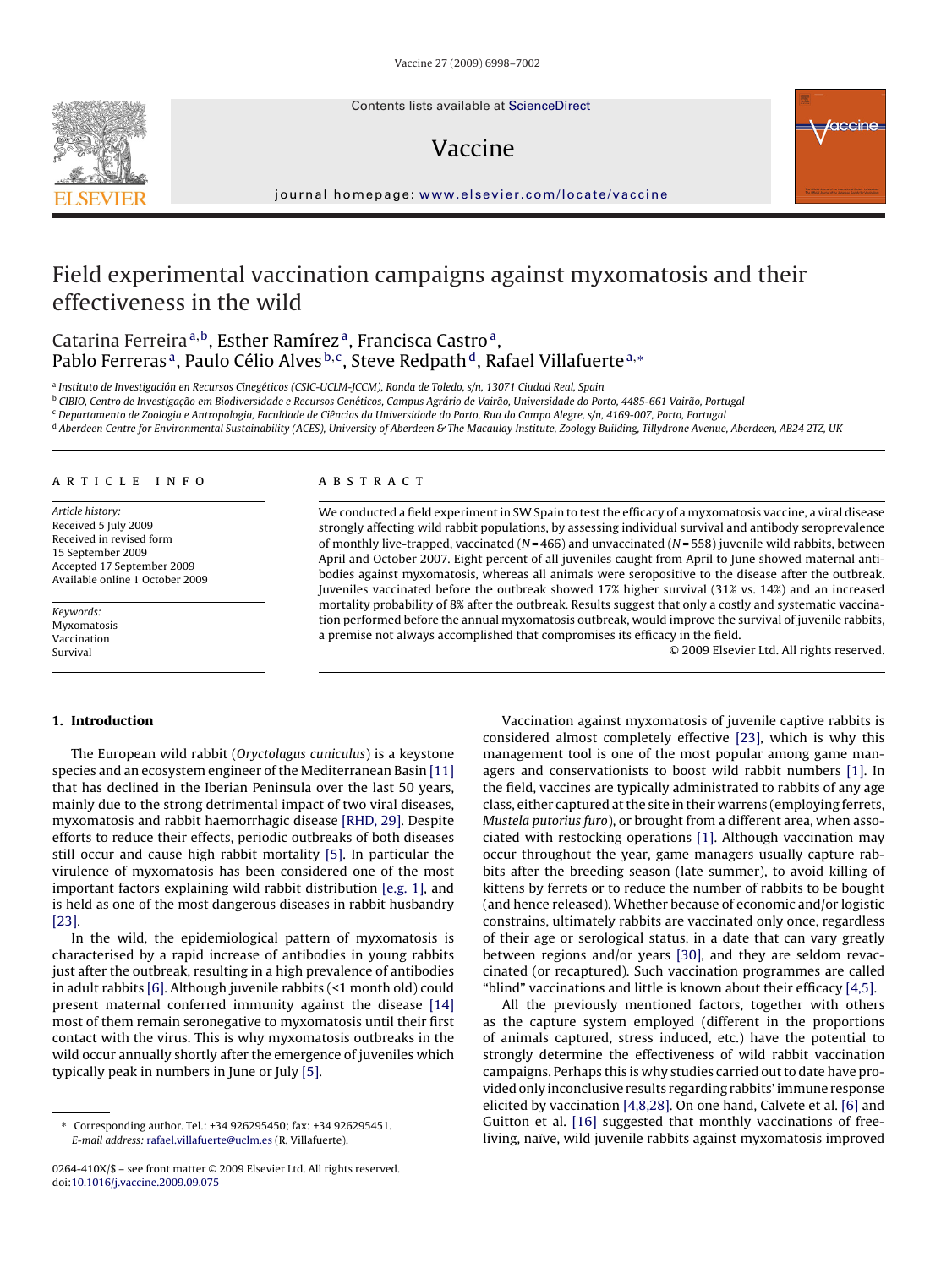Contents lists available at [ScienceDirect](http://www.sciencedirect.com/science/journal/0264410X)

# Vaccine



journal homepage: [www.elsevier.com/locate/vaccine](http://www.elsevier.com/locate/vaccine)

# Field experimental vaccination campaigns against myxomatosis and their effectiveness in the wild

Catarina Ferreira<sup>a,b</sup>, Esther Ramírez<sup>a</sup>, Francisca Castro<sup>a</sup>, Pablo Ferreras<sup>a</sup>, Paulo Célio Alves<sup>b,c</sup>, Steve Redpath<sup>d</sup>, Rafael Villafuerte<sup>a,∗</sup>

a Instituto de Investigación en Recursos Cinegéticos (CSIC-UCLM-JCCM), Ronda de Toledo, s/n, 13071 Ciudad Real, Spain

<sup>b</sup> CIBIO, Centro de Investigação em Biodiversidade e Recursos Genéticos, Campus Agrário de Vairão, Universidade do Porto, 4485-661 Vairão, Portugal

<sup>c</sup> Departamento de Zoologia e Antropologia, Faculdade de Ciências da Universidade do Porto, Rua do Campo Alegre, s/n, 4169-007, Porto, Portugal

d Aberdeen Centre for Environmental Sustainability (ACES), University of Aberdeen & The Macaulay Institute, Zoology Building, Tillydrone Avenue, Aberdeen, AB24 2TZ, UK

#### article info

Article history: Received 5 July 2009 Received in revised form 15 September 2009 Accepted 17 September 2009 Available online 1 October 2009

Keywords: Myxomatosis Vaccination Survival

#### **ABSTRACT**

We conducted a field experiment in SW Spain to test the efficacy of a myxomatosis vaccine, a viral disease strongly affecting wild rabbit populations, by assessing individual survival and antibody seroprevalence of monthly live-trapped, vaccinated ( $N = 466$ ) and unvaccinated ( $N = 558$ ) juvenile wild rabbits, between April and October 2007. Eight percent of all juveniles caught from April to June showed maternal antibodies against myxomatosis, whereas all animals were seropositive to the disease after the outbreak. Juveniles vaccinated before the outbreak showed 17% higher survival (31% vs. 14%) and an increased mortality probability of 8% after the outbreak. Results suggest that only a costly and systematic vaccination performed before the annual myxomatosis outbreak, would improve the survival of juvenile rabbits, a premise not always accomplished that compromises its efficacy in the field.

© 2009 Elsevier Ltd. All rights reserved.

## **1. Introduction**

The European wild rabbit (Oryctolagus cuniculus) is a keystone species and an ecosystem engineer of the Mediterranean Basin [\[11\]](#page-4-0) that has declined in the Iberian Peninsula over the last 50 years, mainly due to the strong detrimental impact of two viral diseases, myxomatosis and rabbit haemorrhagic disease [\[RHD, 29\]. D](#page-4-0)espite efforts to reduce their effects, periodic outbreaks of both diseases still occur and cause high rabbit mortality [\[5\].](#page-4-0) In particular the virulence of myxomatosis has been considered one of the most important factors explaining wild rabbit distribution [\[e.g. 1\],](#page-4-0) and is held as one of the most dangerous diseases in rabbit husbandry [\[23\].](#page-4-0)

In the wild, the epidemiological pattern of myxomatosis is characterised by a rapid increase of antibodies in young rabbits just after the outbreak, resulting in a high prevalence of antibodies in adult rabbits [\[6\]. A](#page-4-0)lthough juvenile rabbits (<1 month old) could present maternal conferred immunity against the disease [\[14\]](#page-4-0) most of them remain seronegative to myxomatosis until their first contact with the virus. This is why myxomatosis outbreaks in the wild occur annually shortly after the emergence of juveniles which typically peak in numbers in June or July [\[5\].](#page-4-0)

Vaccination against myxomatosis of juvenile captive rabbits is considered almost completely effective [\[23\],](#page-4-0) which is why this management tool is one of the most popular among game managers and conservationists to boost wild rabbit numbers [\[1\].](#page-4-0) In the field, vaccines are typically administrated to rabbits of any age class, either captured at the site in their warrens (employing ferrets, Mustela putorius furo), or brought from a different area, when associated with restocking operations [\[1\]. A](#page-4-0)lthough vaccination may occur throughout the year, game managers usually capture rabbits after the breeding season (late summer), to avoid killing of kittens by ferrets or to reduce the number of rabbits to be bought (and hence released). Whether because of economic and/or logistic constrains, ultimately rabbits are vaccinated only once, regardless of their age or serological status, in a date that can vary greatly between regions and/or years [\[30\],](#page-4-0) and they are seldom revaccinated (or recaptured). Such vaccination programmes are called "blind" vaccinations and little is known about their efficacy [\[4,5\].](#page-4-0)

All the previously mentioned factors, together with others as the capture system employed (different in the proportions of animals captured, stress induced, etc.) have the potential to strongly determine the effectiveness of wild rabbit vaccination campaigns. Perhaps this is why studies carried out to date have provided only inconclusive results regarding rabbits' immune response elicited by vaccination [\[4,8,28\]. O](#page-4-0)n one hand, Calvete et al. [\[6\]](#page-4-0) and Guitton et al. [\[16\]](#page-4-0) suggested that monthly vaccinations of freeliving, naïve, wild juvenile rabbits against myxomatosis improved

<sup>∗</sup> Corresponding author. Tel.: +34 926295450; fax: +34 926295451. E-mail address: [rafael.villafuerte@uclm.es](mailto:rafael.villafuerte@uclm.es) (R. Villafuerte).

<sup>0264-410</sup>X/\$ – see front matter © 2009 Elsevier Ltd. All rights reserved. doi:[10.1016/j.vaccine.2009.09.075](dx.doi.org/10.1016/j.vaccine.2009.09.075)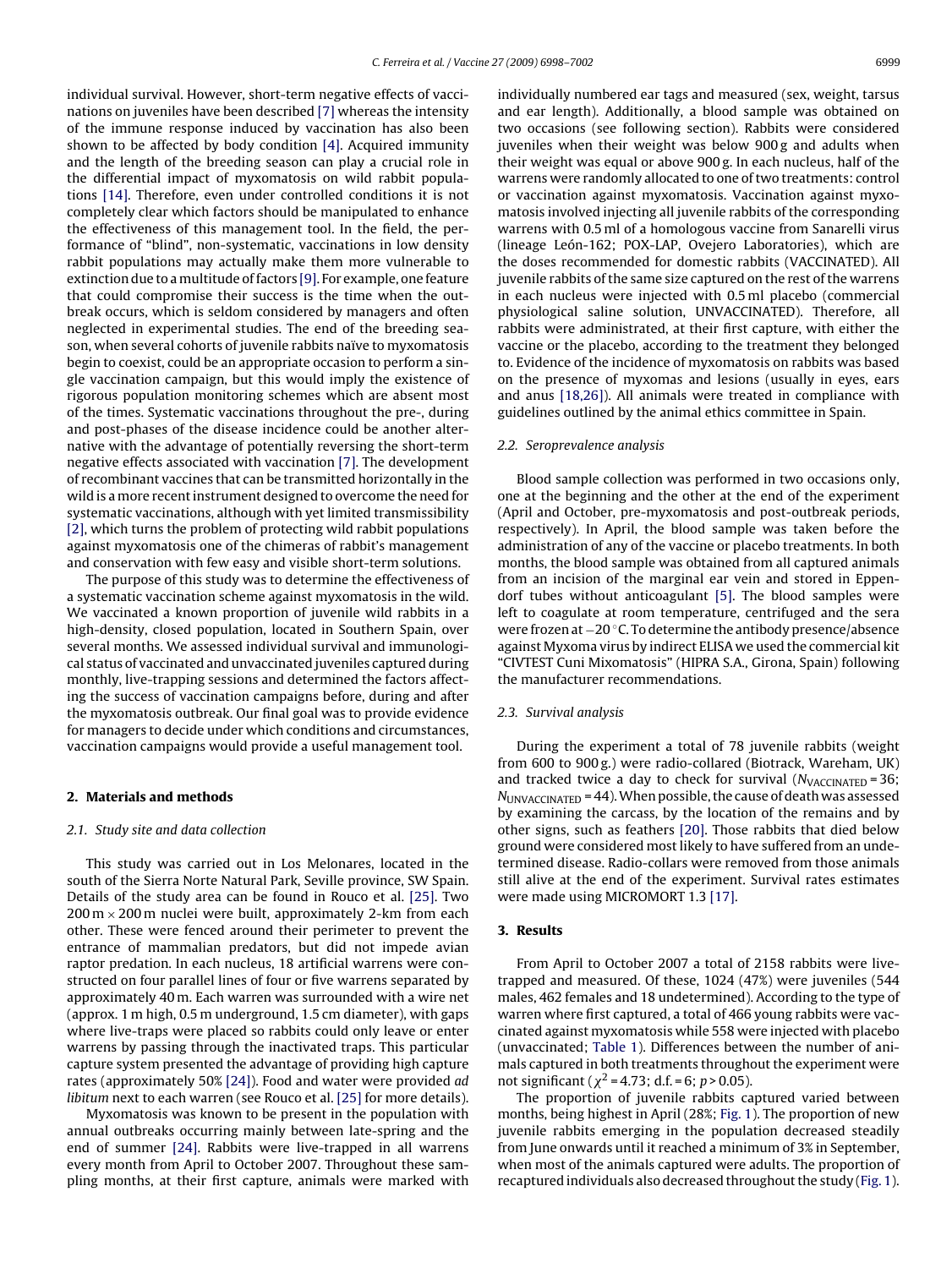individual survival. However, short-term negative effects of vaccinations on juveniles have been described [\[7\]](#page-4-0) whereas the intensity of the immune response induced by vaccination has also been shown to be affected by body condition [\[4\]. A](#page-4-0)cquired immunity and the length of the breeding season can play a crucial role in the differential impact of myxomatosis on wild rabbit populations [\[14\].](#page-4-0) Therefore, even under controlled conditions it is not completely clear which factors should be manipulated to enhance the effectiveness of this management tool. In the field, the performance of "blind", non-systematic, vaccinations in low density rabbit populations may actually make them more vulnerable to extinction due to amultitude of factors [\[9\]. F](#page-4-0)or example, one feature that could compromise their success is the time when the outbreak occurs, which is seldom considered by managers and often neglected in experimental studies. The end of the breeding season, when several cohorts of juvenile rabbits naïve to myxomatosis begin to coexist, could be an appropriate occasion to perform a single vaccination campaign, but this would imply the existence of rigorous population monitoring schemes which are absent most of the times. Systematic vaccinations throughout the pre-, during and post-phases of the disease incidence could be another alternative with the advantage of potentially reversing the short-term negative effects associated with vaccination [\[7\]. T](#page-4-0)he development of recombinant vaccines that can be transmitted horizontally in the wild is a more recent instrument designed to overcome the need for systematic vaccinations, although with yet limited transmissibility [\[2\], w](#page-4-0)hich turns the problem of protecting wild rabbit populations against myxomatosis one of the chimeras of rabbit's management and conservation with few easy and visible short-term solutions.

The purpose of this study was to determine the effectiveness of a systematic vaccination scheme against myxomatosis in the wild. We vaccinated a known proportion of juvenile wild rabbits in a high-density, closed population, located in Southern Spain, over several months. We assessed individual survival and immunological status of vaccinated and unvaccinated juveniles captured during monthly, live-trapping sessions and determined the factors affecting the success of vaccination campaigns before, during and after the myxomatosis outbreak. Our final goal was to provide evidence for managers to decide under which conditions and circumstances, vaccination campaigns would provide a useful management tool.

## **2. Materials and methods**

#### 2.1. Study site and data collection

This study was carried out in Los Melonares, located in the south of the Sierra Norte Natural Park, Seville province, SW Spain. Details of the study area can be found in Rouco et al. [\[25\].](#page-4-0) Two  $200 \text{ m} \times 200 \text{ m}$  nuclei were built, approximately 2-km from each other. These were fenced around their perimeter to prevent the entrance of mammalian predators, but did not impede avian raptor predation. In each nucleus, 18 artificial warrens were constructed on four parallel lines of four or five warrens separated by approximately 40 m. Each warren was surrounded with a wire net (approx. 1 m high, 0.5 m underground, 1.5 cm diameter), with gaps where live-traps were placed so rabbits could only leave or enter warrens by passing through the inactivated traps. This particular capture system presented the advantage of providing high capture rates (approximately 50% [\[24\]\).](#page-4-0) Food and water were provided ad libitum next to each warren (see Rouco et al. [\[25\]](#page-4-0) for more details).

Myxomatosis was known to be present in the population with annual outbreaks occurring mainly between late-spring and the end of summer [\[24\].](#page-4-0) Rabbits were live-trapped in all warrens every month from April to October 2007. Throughout these sampling months, at their first capture, animals were marked with individually numbered ear tags and measured (sex, weight, tarsus and ear length). Additionally, a blood sample was obtained on two occasions (see following section). Rabbits were considered juveniles when their weight was below 900 g and adults when their weight was equal or above 900 g. In each nucleus, half of the warrens were randomly allocated to one of two treatments: control or vaccination against myxomatosis. Vaccination against myxomatosis involved injecting all juvenile rabbits of the corresponding warrens with 0.5 ml of a homologous vaccine from Sanarelli virus (lineage León-162; POX-LAP, Ovejero Laboratories), which are the doses recommended for domestic rabbits (VACCINATED). All juvenile rabbits of the same size captured on the rest of the warrens in each nucleus were injected with 0.5 ml placebo (commercial physiological saline solution, UNVACCINATED). Therefore, all rabbits were administrated, at their first capture, with either the vaccine or the placebo, according to the treatment they belonged to. Evidence of the incidence of myxomatosis on rabbits was based on the presence of myxomas and lesions (usually in eyes, ears and anus [\[18,26\]\).](#page-4-0) All animals were treated in compliance with guidelines outlined by the animal ethics committee in Spain.

#### 2.2. Seroprevalence analysis

Blood sample collection was performed in two occasions only, one at the beginning and the other at the end of the experiment (April and October, pre-myxomatosis and post-outbreak periods, respectively). In April, the blood sample was taken before the administration of any of the vaccine or placebo treatments. In both months, the blood sample was obtained from all captured animals from an incision of the marginal ear vein and stored in Eppendorf tubes without anticoagulant [\[5\].](#page-4-0) The blood samples were left to coagulate at room temperature, centrifuged and the sera were frozen at −20 °C. To determine the antibody presence/absence against Myxoma virus by indirect ELISA we used the commercial kit "CIVTEST Cuni Mixomatosis" (HIPRA S.A., Girona, Spain) following the manufacturer recommendations.

### 2.3. Survival analysis

During the experiment a total of 78 juvenile rabbits (weight from 600 to 900 g.) were radio-collared (Biotrack, Wareham, UK) and tracked twice a day to check for survival  $(N<sub>VACCINATED</sub> = 36;$  $N_{\text{UNVACCINATED}}$  = 44). When possible, the cause of death was assessed by examining the carcass, by the location of the remains and by other signs, such as feathers [\[20\]. T](#page-4-0)hose rabbits that died below ground were considered most likely to have suffered from an undetermined disease. Radio-collars were removed from those animals still alive at the end of the experiment. Survival rates estimates were made using MICROMORT 1.3 [\[17\].](#page-4-0)

# **3. Results**

From April to October 2007 a total of 2158 rabbits were livetrapped and measured. Of these, 1024 (47%) were juveniles (544 males, 462 females and 18 undetermined). According to the type of warren where first captured, a total of 466 young rabbits were vaccinated against myxomatosis while 558 were injected with placebo (unvaccinated; [Table 1\).](#page-2-0) Differences between the number of animals captured in both treatments throughout the experiment were not significant ( $\chi^2$  = 4.73; d.f. = 6; p > 0.05).

The proportion of juvenile rabbits captured varied between months, being highest in April (28%; [Fig. 1\).](#page-2-0) The proportion of new juvenile rabbits emerging in the population decreased steadily from June onwards until it reached a minimum of 3% in September, when most of the animals captured were adults. The proportion of recaptured individuals also decreased throughout the study ([Fig. 1\).](#page-2-0)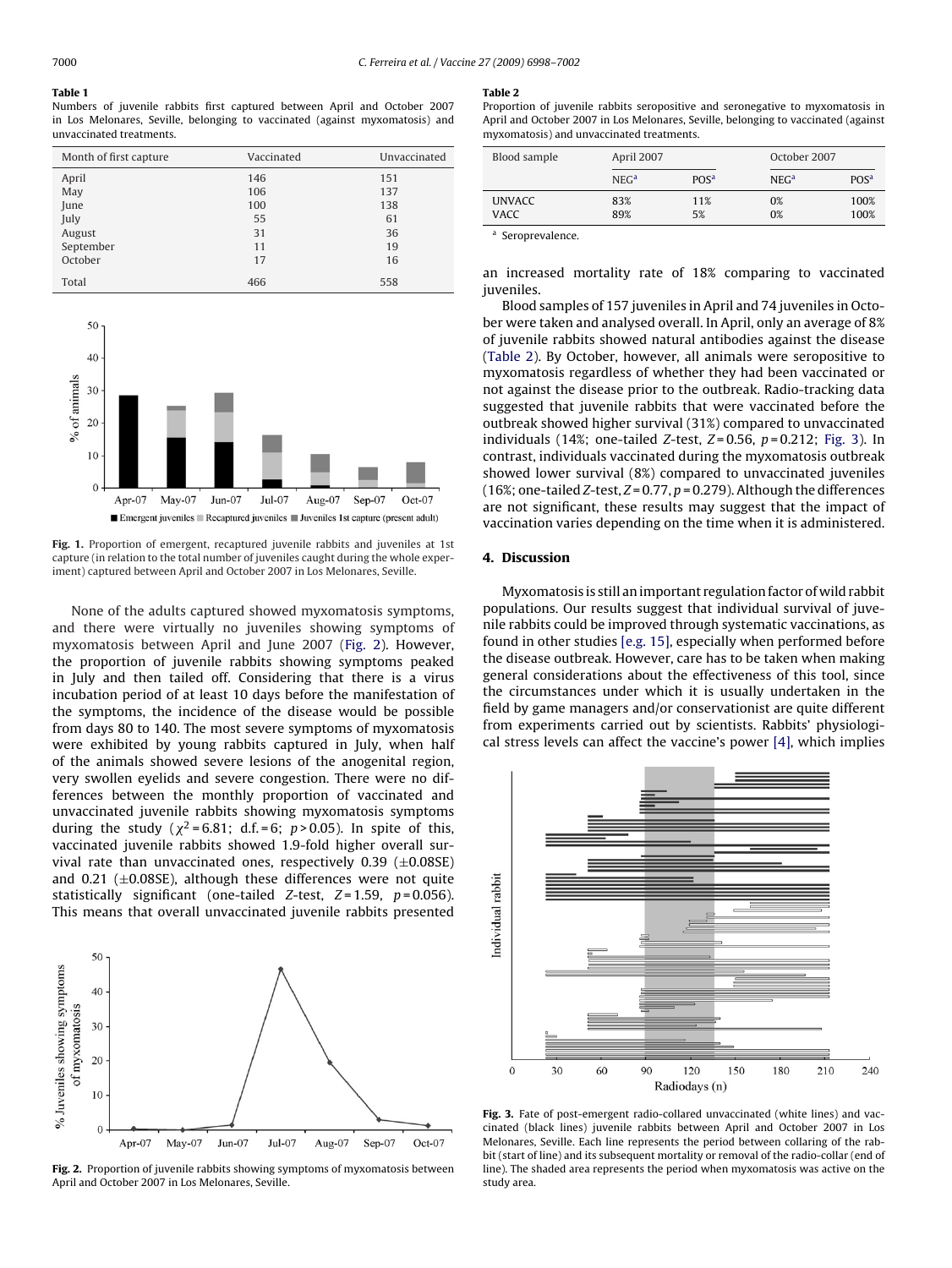<span id="page-2-0"></span>**Table 1**

Numbers of juvenile rabbits first captured between April and October 2007 in Los Melonares, Seville, belonging to vaccinated (against myxomatosis) and unvaccinated treatments.

| Month of first capture | Vaccinated | Unvaccinated |  |
|------------------------|------------|--------------|--|
| April                  | 146        | 151          |  |
| May                    | 106        | 137          |  |
| June                   | 100        | 138          |  |
| July                   | 55         | 61           |  |
| August                 | 31         | 36           |  |
| September              | 11         | 19           |  |
| October                | 17         | 16           |  |
| Total                  | 466        | 558          |  |



**Fig. 1.** Proportion of emergent, recaptured juvenile rabbits and juveniles at 1st capture (in relation to the total number of juveniles caught during the whole experiment) captured between April and October 2007 in Los Melonares, Seville.

None of the adults captured showed myxomatosis symptoms, and there were virtually no juveniles showing symptoms of myxomatosis between April and June 2007 (Fig. 2). However, the proportion of juvenile rabbits showing symptoms peaked in July and then tailed off. Considering that there is a virus incubation period of at least 10 days before the manifestation of the symptoms, the incidence of the disease would be possible from days 80 to 140. The most severe symptoms of myxomatosis were exhibited by young rabbits captured in July, when half of the animals showed severe lesions of the anogenital region, very swollen eyelids and severe congestion. There were no differences between the monthly proportion of vaccinated and unvaccinated juvenile rabbits showing myxomatosis symptoms during the study ( $\chi^2$ =6.81; d.f.=6; p>0.05). In spite of this, vaccinated juvenile rabbits showed 1.9-fold higher overall survival rate than unvaccinated ones, respectively  $0.39$  ( $\pm 0.08$ SE) and 0.21 ( $\pm$ 0.08SE), although these differences were not quite statistically significant (one-tailed Z-test,  $Z = 1.59$ ,  $p = 0.056$ ). This means that overall unvaccinated juvenile rabbits presented



**Fig. 2.** Proportion of juvenile rabbits showing symptoms of myxomatosis between April and October 2007 in Los Melonares, Seville.

#### **Table 2**

Proportion of juvenile rabbits seropositive and seronegative to myxomatosis in April and October 2007 in Los Melonares, Seville, belonging to vaccinated (against myxomatosis) and unvaccinated treatments.

| Blood sample  | April 2007       |                              |                  | October 2007                |  |
|---------------|------------------|------------------------------|------------------|-----------------------------|--|
|               | NEG <sup>a</sup> | PO <sub>S</sub> <sup>a</sup> | NEG <sup>a</sup> | PO <sub>S<sup>a</sup></sub> |  |
| <b>UNVACC</b> | 83%              | 11%                          | 0%               | 100%                        |  |
| <b>VACC</b>   | 89%              | 5%                           | 0%               | 100%                        |  |

<sup>a</sup> Seroprevalence.

an increased mortality rate of 18% comparing to vaccinated juveniles.

Blood samples of 157 juveniles in April and 74 juveniles in October were taken and analysed overall. In April, only an average of 8% of juvenile rabbits showed natural antibodies against the disease (Table 2). By October, however, all animals were seropositive to myxomatosis regardless of whether they had been vaccinated or not against the disease prior to the outbreak. Radio-tracking data suggested that juvenile rabbits that were vaccinated before the outbreak showed higher survival (31%) compared to unvaccinated individuals (14%; one-tailed Z-test,  $Z=0.56$ ,  $p=0.212$ ; Fig. 3). In contrast, individuals vaccinated during the myxomatosis outbreak showed lower survival (8%) compared to unvaccinated juveniles (16%; one-tailed Z-test,  $Z = 0.77$ ,  $p = 0.279$ ). Although the differences are not significant, these results may suggest that the impact of vaccination varies depending on the time when it is administered.

# **4. Discussion**

Myxomatosis is still an important regulation factor of wild rabbit populations. Our results suggest that individual survival of juvenile rabbits could be improved through systematic vaccinations, as found in other studies [\[e.g. 15\], e](#page-4-0)specially when performed before the disease outbreak. However, care has to be taken when making general considerations about the effectiveness of this tool, since the circumstances under which it is usually undertaken in the field by game managers and/or conservationist are quite different from experiments carried out by scientists. Rabbits' physiological stress levels can affect the vaccine's power [\[4\], w](#page-4-0)hich implies



**Fig. 3.** Fate of post-emergent radio-collared unvaccinated (white lines) and vaccinated (black lines) juvenile rabbits between April and October 2007 in Los Melonares, Seville. Each line represents the period between collaring of the rabbit (start of line) and its subsequent mortality or removal of the radio-collar (end of line). The shaded area represents the period when myxomatosis was active on the study area.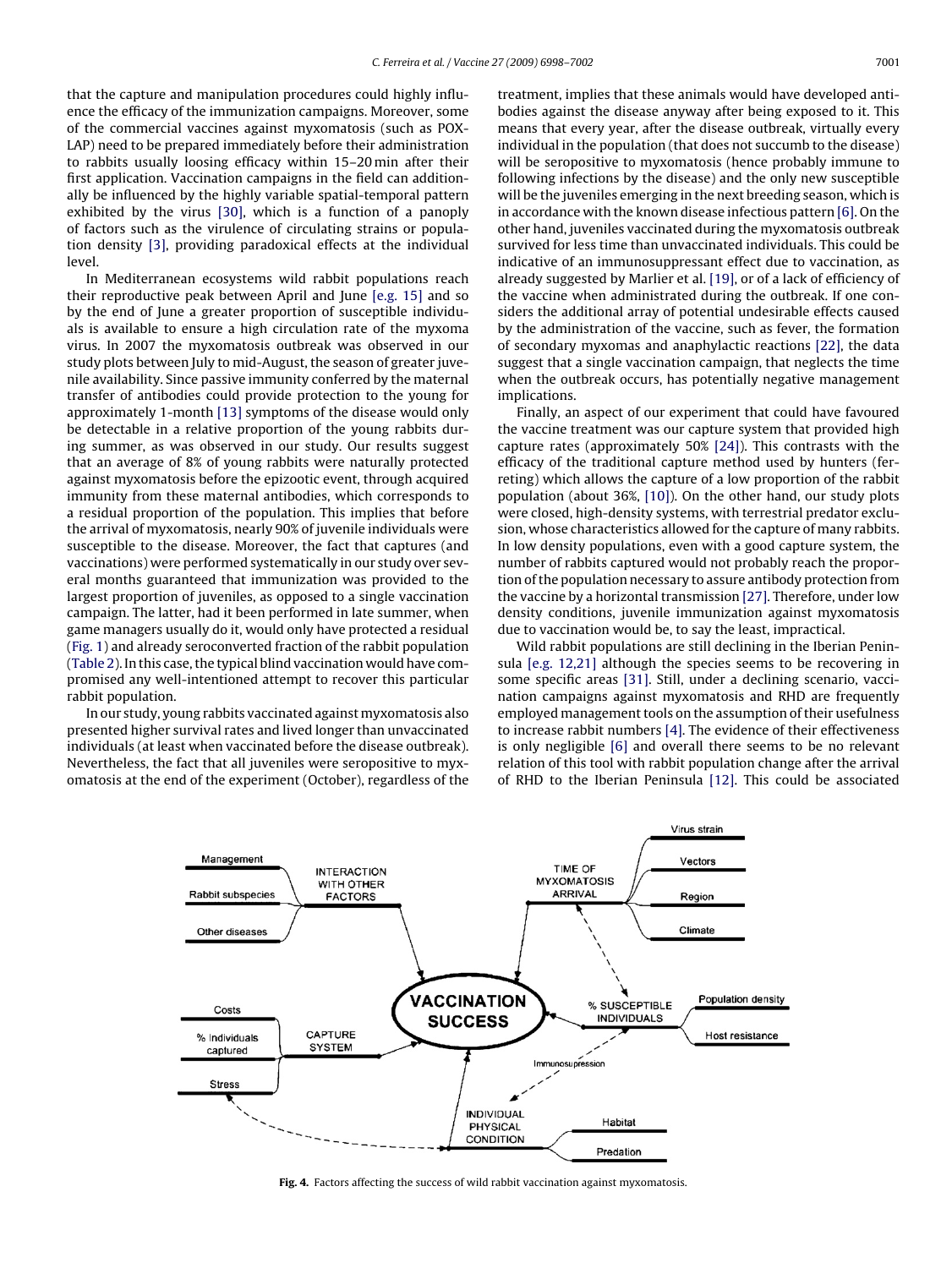<span id="page-3-0"></span>that the capture and manipulation procedures could highly influence the efficacy of the immunization campaigns. Moreover, some of the commercial vaccines against myxomatosis (such as POX-LAP) need to be prepared immediately before their administration to rabbits usually loosing efficacy within 15–20 min after their first application. Vaccination campaigns in the field can additionally be influenced by the highly variable spatial-temporal pattern exhibited by the virus [\[30\],](#page-4-0) which is a function of a panoply of factors such as the virulence of circulating strains or population density [\[3\],](#page-4-0) providing paradoxical effects at the individual level.

In Mediterranean ecosystems wild rabbit populations reach their reproductive peak between April and June [\[e.g. 15\]](#page-4-0) and so by the end of June a greater proportion of susceptible individuals is available to ensure a high circulation rate of the myxoma virus. In 2007 the myxomatosis outbreak was observed in our study plots between July to mid-August, the season of greater juvenile availability. Since passive immunity conferred by the maternal transfer of antibodies could provide protection to the young for approximately 1-month [\[13\]](#page-4-0) symptoms of the disease would only be detectable in a relative proportion of the young rabbits during summer, as was observed in our study. Our results suggest that an average of 8% of young rabbits were naturally protected against myxomatosis before the epizootic event, through acquired immunity from these maternal antibodies, which corresponds to a residual proportion of the population. This implies that before the arrival of myxomatosis, nearly 90% of juvenile individuals were susceptible to the disease. Moreover, the fact that captures (and vaccinations) were performed systematically in our study over several months guaranteed that immunization was provided to the largest proportion of juveniles, as opposed to a single vaccination campaign. The latter, had it been performed in late summer, when game managers usually do it, would only have protected a residual ([Fig. 1\) a](#page-2-0)nd already seroconverted fraction of the rabbit population ([Table 2\).](#page-2-0) In this case, the typical blind vaccination would have compromised any well-intentioned attempt to recover this particular rabbit population.

In our study, young rabbits vaccinated against myxomatosis also presented higher survival rates and lived longer than unvaccinated individuals (at least when vaccinated before the disease outbreak). Nevertheless, the fact that all juveniles were seropositive to myxomatosis at the end of the experiment (October), regardless of the treatment, implies that these animals would have developed antibodies against the disease anyway after being exposed to it. This means that every year, after the disease outbreak, virtually every individual in the population (that does not succumb to the disease) will be seropositive to myxomatosis (hence probably immune to following infections by the disease) and the only new susceptible will be the juveniles emerging in the next breeding season, which is in accordance with the known disease infectious pattern [\[6\]. O](#page-4-0)n the other hand, juveniles vaccinated during the myxomatosis outbreak survived for less time than unvaccinated individuals. This could be indicative of an immunosuppressant effect due to vaccination, as already suggested by Marlier et al. [\[19\], o](#page-4-0)r of a lack of efficiency of the vaccine when administrated during the outbreak. If one considers the additional array of potential undesirable effects caused by the administration of the vaccine, such as fever, the formation of secondary myxomas and anaphylactic reactions [\[22\], t](#page-4-0)he data suggest that a single vaccination campaign, that neglects the time when the outbreak occurs, has potentially negative management implications.

Finally, an aspect of our experiment that could have favoured the vaccine treatment was our capture system that provided high capture rates (approximately 50% [\[24\]\).](#page-4-0) This contrasts with the efficacy of the traditional capture method used by hunters (ferreting) which allows the capture of a low proportion of the rabbit population (about 36%, [\[10\]\).](#page-4-0) On the other hand, our study plots were closed, high-density systems, with terrestrial predator exclusion, whose characteristics allowed for the capture of many rabbits. In low density populations, even with a good capture system, the number of rabbits captured would not probably reach the proportion of the population necessary to assure antibody protection from the vaccine by a horizontal transmission [\[27\]. T](#page-4-0)herefore, under low density conditions, juvenile immunization against myxomatosis due to vaccination would be, to say the least, impractical.

Wild rabbit populations are still declining in the Iberian Peninsula [\[e.g. 12,21\]](#page-4-0) although the species seems to be recovering in some specific areas [\[31\].](#page-4-0) Still, under a declining scenario, vaccination campaigns against myxomatosis and RHD are frequently employed management tools on the assumption of their usefulness to increase rabbit numbers [\[4\]. T](#page-4-0)he evidence of their effectiveness is only negligible [\[6\]](#page-4-0) and overall there seems to be no relevant relation of this tool with rabbit population change after the arrival of RHD to the Iberian Peninsula [\[12\].](#page-4-0) This could be associated



Fig. 4. Factors affecting the success of wild rabbit vaccination against myxomatosis.